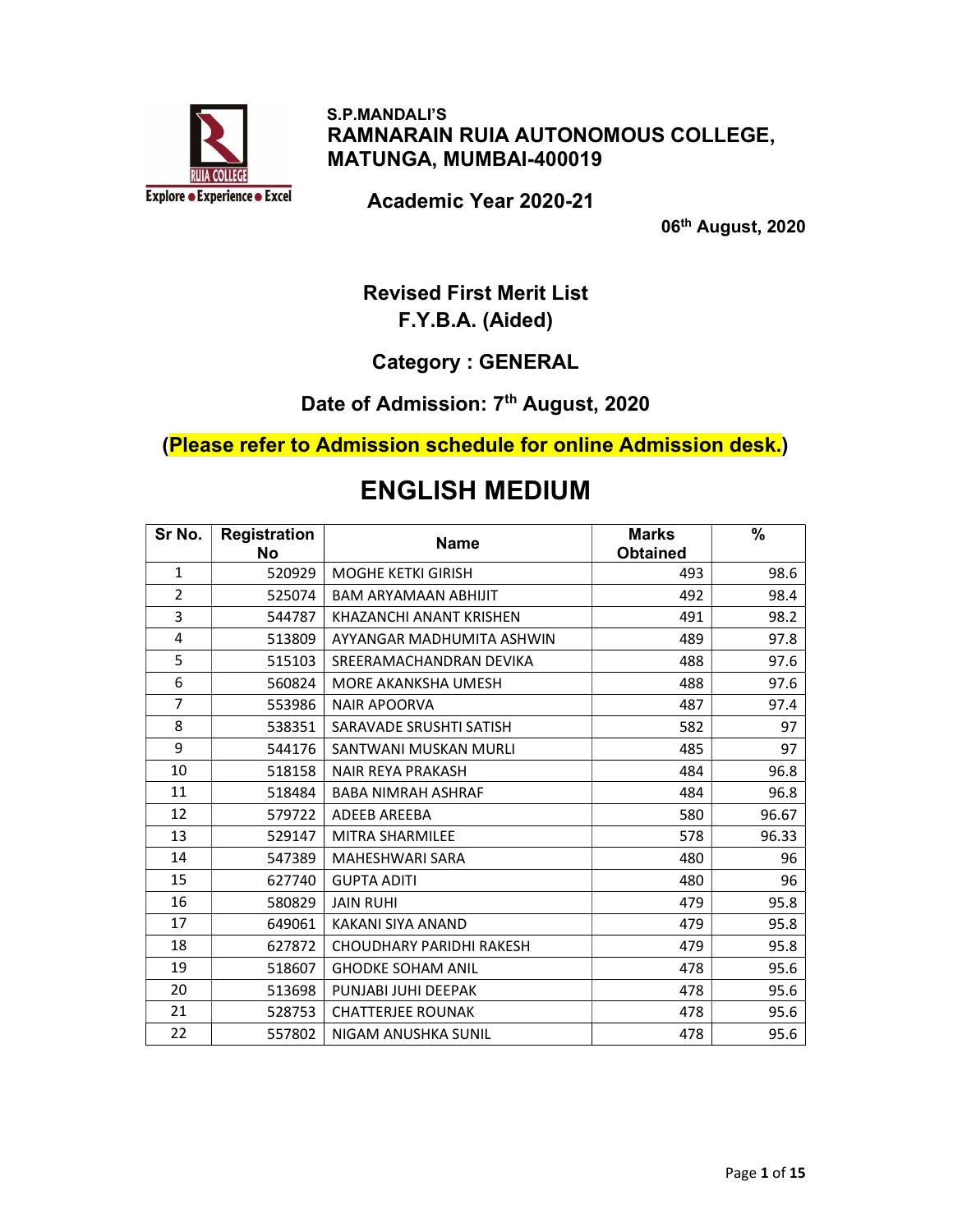

 S.P.MANDALI'S RAMNARAIN RUIA AUTONOMOUS COLLEGE, MATUNGA, MUMBAI-400019

Academic Year 2020-21

06th August, 2020

### Revised First Merit List F.Y.B.A. (Aided)

#### Category : GENERAL

# Date of Admission: 7<sup>th</sup> August, 2020

(Please refer to Admission schedule for online Admission desk.)

## ENGLISH MEDIUM

| Sr No.         | Registration<br><b>No</b> | <b>Name</b>                 | <b>Marks</b><br><b>Obtained</b> | %     |
|----------------|---------------------------|-----------------------------|---------------------------------|-------|
| $\mathbf{1}$   | 520929                    | <b>MOGHE KETKI GIRISH</b>   | 493                             | 98.6  |
| $\overline{2}$ | 525074                    | <b>BAM ARYAMAAN ABHIJIT</b> | 492                             | 98.4  |
| 3              | 544787                    | KHAZANCHI ANANT KRISHEN     | 491                             | 98.2  |
| 4              | 513809                    | AYYANGAR MADHUMITA ASHWIN   | 489                             | 97.8  |
| 5              | 515103                    | SREERAMACHANDRAN DEVIKA     | 488                             | 97.6  |
| 6              | 560824                    | MORE AKANKSHA UMESH         | 488                             | 97.6  |
| $\overline{7}$ | 553986                    | <b>NAIR APOORVA</b>         | 487                             | 97.4  |
| 8              | 538351                    | SARAVADE SRUSHTI SATISH     | 582                             | 97    |
| 9              | 544176                    | SANTWANI MUSKAN MURLI       | 485                             | 97    |
| 10             | 518158                    | <b>NAIR REYA PRAKASH</b>    | 484                             | 96.8  |
| 11             | 518484                    | <b>BABA NIMRAH ASHRAF</b>   | 484                             | 96.8  |
| 12             | 579722                    | ADEEB AREEBA                | 580                             | 96.67 |
| 13             | 529147                    | MITRA SHARMILEE             | 578                             | 96.33 |
| 14             | 547389                    | <b>MAHESHWARI SARA</b>      | 480                             | 96    |
| 15             | 627740                    | <b>GUPTA ADITI</b>          | 480                             | 96    |
| 16             | 580829                    | <b>JAIN RUHI</b>            | 479                             | 95.8  |
| 17             | 649061                    | KAKANI SIYA ANAND           | 479                             | 95.8  |
| 18             | 627872                    | CHOUDHARY PARIDHI RAKESH    | 479                             | 95.8  |
| 19             | 518607                    | <b>GHODKE SOHAM ANIL</b>    | 478                             | 95.6  |
| 20             | 513698                    | PUNJABI JUHI DEEPAK         | 478                             | 95.6  |
| 21             | 528753                    | <b>CHATTERJEE ROUNAK</b>    | 478                             | 95.6  |
| 22             | 557802                    | NIGAM ANUSHKA SUNIL         | 478                             | 95.6  |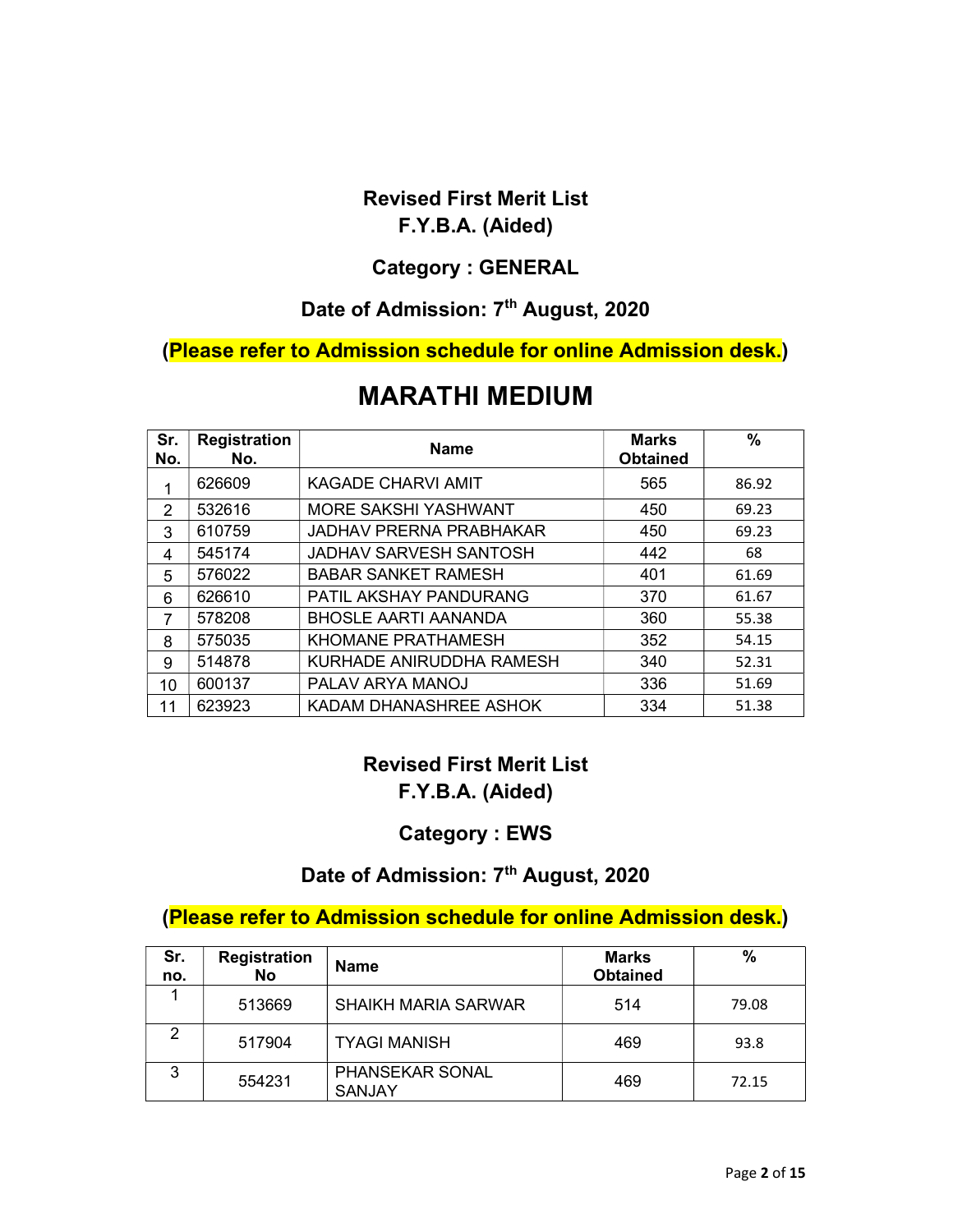# Category : GENERAL

#### Date of Admission: 7<sup>th</sup> August, 2020

#### (Please refer to Admission schedule for online Admission desk.)

# MARATHI MEDIUM

| Sr.<br>No. | <b>Registration</b><br>No. | <b>Name</b>                    | <b>Marks</b><br><b>Obtained</b> | %     |
|------------|----------------------------|--------------------------------|---------------------------------|-------|
| 1          | 626609                     | KAGADE CHARVI AMIT             | 565                             | 86.92 |
| 2          | 532616                     | MORE SAKSHI YASHWANT           | 450                             | 69.23 |
| 3          | 610759                     | <b>JADHAV PRERNA PRABHAKAR</b> | 450                             | 69.23 |
| 4          | 545174                     | JADHAV SARVESH SANTOSH         | 442                             | 68    |
| 5          | 576022                     | <b>BABAR SANKET RAMESH</b>     | 401                             | 61.69 |
| 6          | 626610                     | PATIL AKSHAY PANDURANG         | 370                             | 61.67 |
| 7          | 578208                     | <b>BHOSLE AARTI AANANDA</b>    | 360                             | 55.38 |
| 8          | 575035                     | KHOMANE PRATHAMESH             | 352                             | 54.15 |
| 9          | 514878                     | KURHADE ANIRUDDHA RAMESH       | 340                             | 52.31 |
| 10         | 600137                     | PALAV ARYA MANOJ               | 336                             | 51.69 |
| 11         | 623923                     | KADAM DHANASHREE ASHOK         | 334                             | 51.38 |

### Revised First Merit List F.Y.B.A. (Aided)

#### Category : EWS

#### Date of Admission: 7<sup>th</sup> August, 2020

#### (Please refer to Admission schedule for online Admission desk.)

| Sr.<br>no. | <b>Registration</b><br>No | <b>Name</b>                             | <b>Marks</b><br><b>Obtained</b> | %     |
|------------|---------------------------|-----------------------------------------|---------------------------------|-------|
|            | 513669                    | <b>SHAIKH MARIA SARWAR</b>              | 514                             | 79.08 |
|            | 517904                    | <b>TYAGI MANISH</b>                     | 469                             | 93.8  |
| 3          | 554231                    | <b>PHANSEKAR SONAL</b><br><b>SANJAY</b> | 469                             | 72.15 |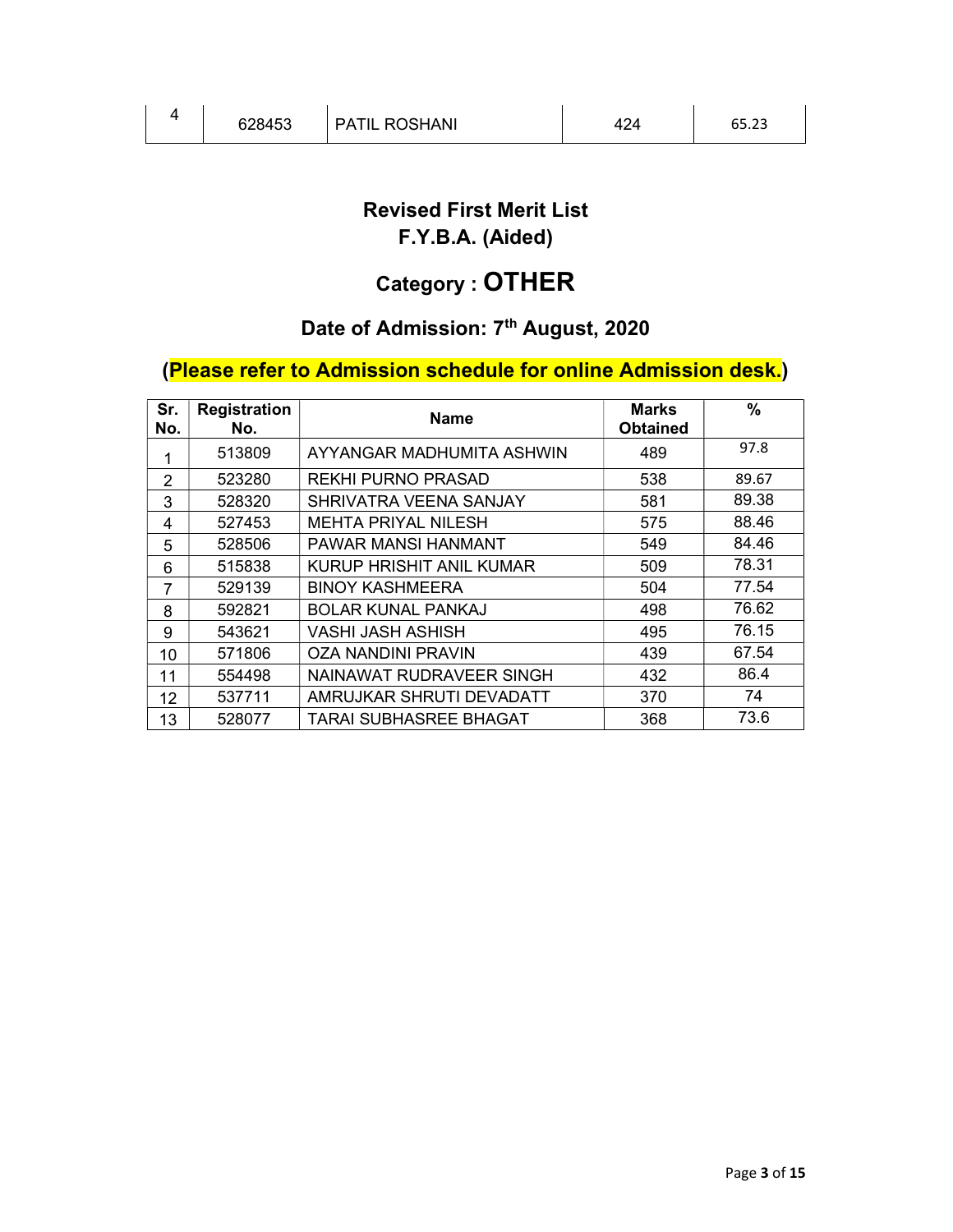# Category : OTHER

# Date of Admission: 7<sup>th</sup> August, 2020

# (Please refer to Admission schedule for online Admission desk.)

| Sr.<br>No. | <b>Registration</b><br>No. | <b>Name</b>                     | <b>Marks</b><br><b>Obtained</b> | $\frac{0}{0}$ |
|------------|----------------------------|---------------------------------|---------------------------------|---------------|
| 1          | 513809                     | AYYANGAR MADHUMITA ASHWIN       | 489                             | 97.8          |
| 2          | 523280                     | <b>REKHI PURNO PRASAD</b>       | 538                             | 89.67         |
| 3          | 528320                     | SHRIVATRA VEENA SANJAY          | 581                             | 89.38         |
| 4          | 527453                     | <b>MEHTA PRIYAL NILESH</b>      | 575                             | 88.46         |
| 5          | 528506                     | PAWAR MANSI HANMANT             | 549                             | 84.46         |
| 6          | 515838                     | <b>KURUP HRISHIT ANIL KUMAR</b> | 509                             | 78.31         |
| 7          | 529139                     | <b>BINOY KASHMEERA</b>          | 504                             | 77.54         |
| 8          | 592821                     | <b>BOLAR KUNAL PANKAJ</b>       | 498                             | 76.62         |
| 9          | 543621                     | VASHI JASH ASHISH               | 495                             | 76.15         |
| 10         | 571806                     | <b>OZA NANDINI PRAVIN</b>       | 439                             | 67.54         |
| 11         | 554498                     | NAINAWAT RUDRAVEER SINGH        | 432                             | 86.4          |
| 12         | 537711                     | AMRUJKAR SHRUTI DEVADATT        | 370                             | 74            |
| 13         | 528077                     | TARAI SUBHASREE BHAGAT          | 368                             | 73.6          |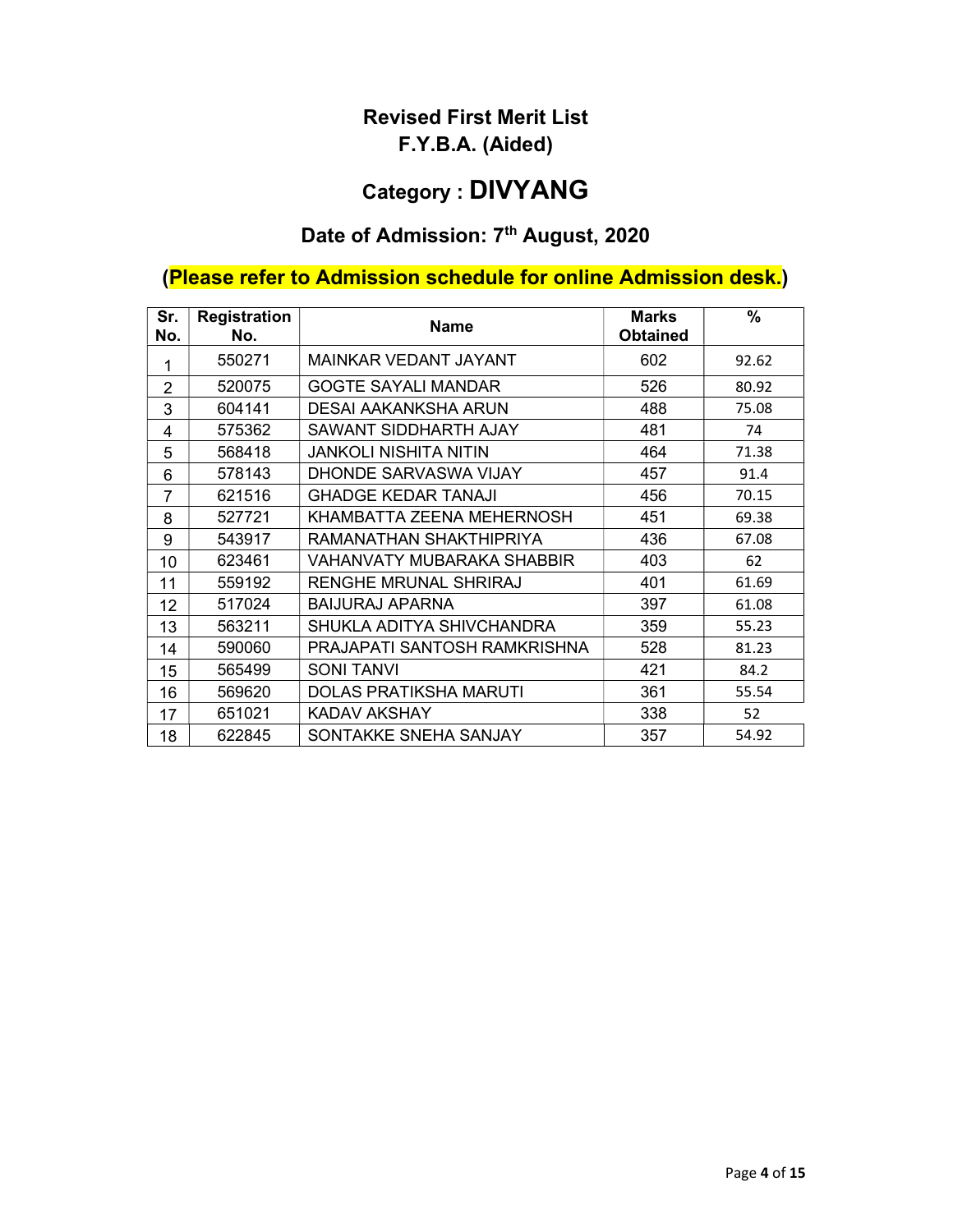# Category : DIVYANG

# Date of Admission: 7<sup>th</sup> August, 2020

# (Please refer to Admission schedule for online Admission desk.)

| Sr.<br>No.     | <b>Registration</b><br>No. | <b>Name</b>                   | <b>Marks</b><br><b>Obtained</b> | $\frac{0}{0}$ |
|----------------|----------------------------|-------------------------------|---------------------------------|---------------|
| 1              | 550271                     | MAINKAR VEDANT JAYANT         | 602                             | 92.62         |
| $\overline{2}$ | 520075                     | <b>GOGTE SAYALI MANDAR</b>    | 526                             | 80.92         |
| 3              | 604141                     | DESAI AAKANKSHA ARUN          | 488                             | 75.08         |
| 4              | 575362                     | SAWANT SIDDHARTH AJAY         | 481                             | 74            |
| 5              | 568418                     | <b>JANKOLI NISHITA NITIN</b>  | 464                             | 71.38         |
| 6              | 578143                     | DHONDE SARVASWA VIJAY         | 457                             | 91.4          |
| $\overline{7}$ | 621516                     | <b>GHADGE KEDAR TANAJI</b>    | 456                             | 70.15         |
| 8              | 527721                     | KHAMBATTA ZEENA MEHERNOSH     | 451                             | 69.38         |
| 9              | 543917                     | RAMANATHAN SHAKTHIPRIYA       | 436                             | 67.08         |
| 10             | 623461                     | VAHANVATY MUBARAKA SHABBIR    | 403                             | 62            |
| 11             | 559192                     | <b>RENGHE MRUNAL SHRIRAJ</b>  | 401                             | 61.69         |
| 12             | 517024                     | <b>BAIJURAJ APARNA</b>        | 397                             | 61.08         |
| 13             | 563211                     | SHUKLA ADITYA SHIVCHANDRA     | 359                             | 55.23         |
| 14             | 590060                     | PRAJAPATI SANTOSH RAMKRISHNA  | 528                             | 81.23         |
| 15             | 565499                     | <b>SONI TANVI</b>             | 421                             | 84.2          |
| 16             | 569620                     | <b>DOLAS PRATIKSHA MARUTI</b> | 361                             | 55.54         |
| 17             | 651021                     | <b>KADAV AKSHAY</b>           | 338                             | 52            |
| 18             | 622845                     | SONTAKKE SNEHA SANJAY         | 357                             | 54.92         |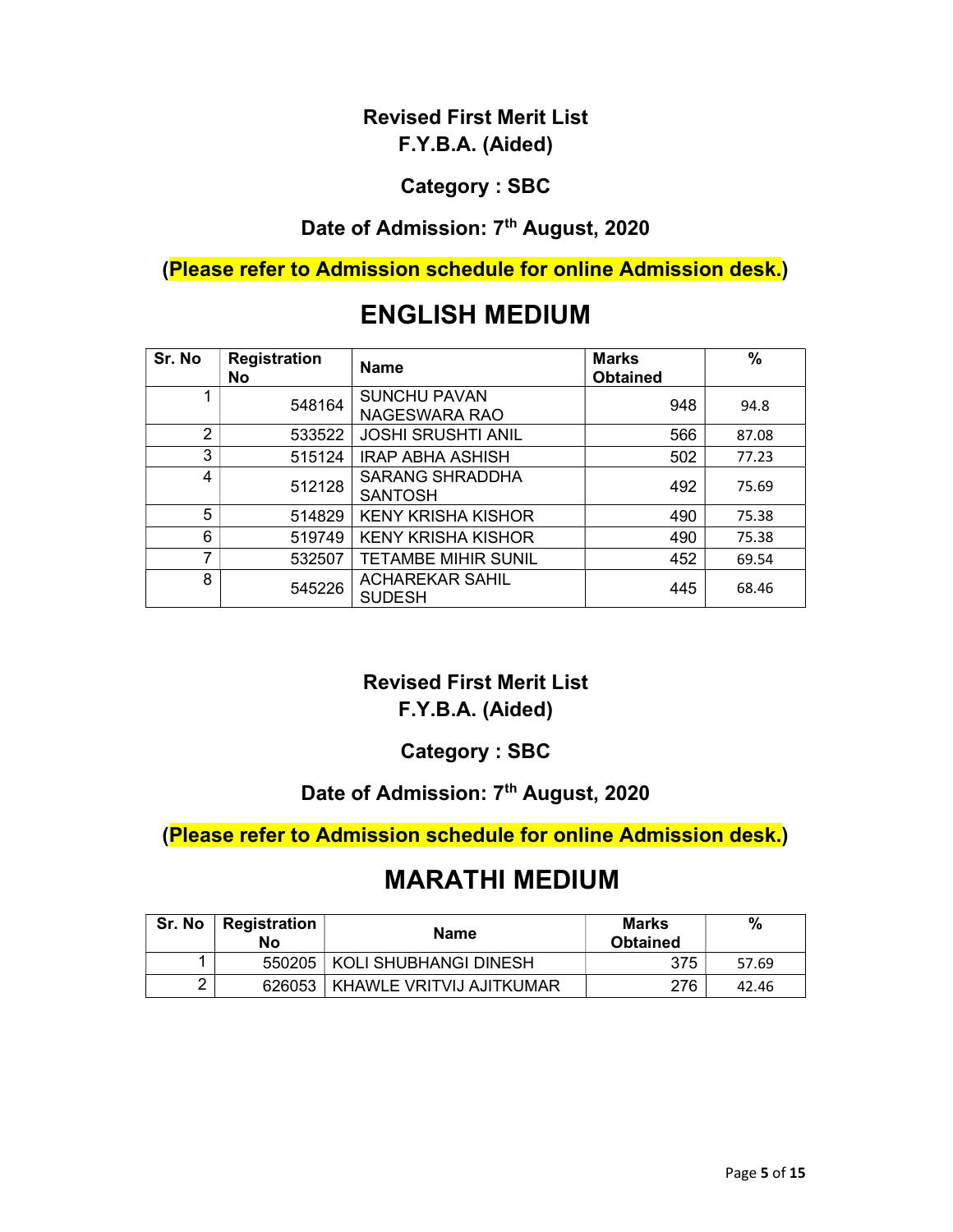#### Category : SBC

# Date of Admission: 7<sup>th</sup> August, 2020

(Please refer to Admission schedule for online Admission desk.)

# ENGLISH MEDIUM

| Sr. No         | <b>Registration</b><br>No | <b>Name</b>                              | <b>Marks</b><br><b>Obtained</b> | $\frac{0}{0}$ |
|----------------|---------------------------|------------------------------------------|---------------------------------|---------------|
|                | 548164                    | <b>SUNCHU PAVAN</b><br>NAGESWARA RAO     | 948                             | 94.8          |
| $\overline{2}$ | 533522                    | <b>JOSHI SRUSHTI ANIL</b>                | 566                             | 87.08         |
| 3              | 515124                    | <b>IRAP ABHA ASHISH</b>                  | 502                             | 77.23         |
| 4              | 512128                    | <b>SARANG SHRADDHA</b><br><b>SANTOSH</b> | 492                             | 75.69         |
| 5              | 514829                    | <b>KENY KRISHA KISHOR</b>                | 490                             | 75.38         |
| 6              | 519749                    | <b>KENY KRISHA KISHOR</b>                | 490                             | 75.38         |
| 7              | 532507                    | <b>TETAMBE MIHIR SUNIL</b>               | 452                             | 69.54         |
| 8              | 545226                    | <b>ACHAREKAR SAHIL</b><br><b>SUDESH</b>  | 445                             | 68.46         |

# Revised First Merit List

#### F.Y.B.A. (Aided)

#### Category : SBC

#### Date of Admission: 7<sup>th</sup> August, 2020

#### (Please refer to Admission schedule for online Admission desk.)

| Sr. No | Registration<br>No | <b>Name</b>                       | <b>Marks</b><br><b>Obtained</b> | $\frac{0}{0}$ |
|--------|--------------------|-----------------------------------|---------------------------------|---------------|
|        | 550205             | KOLI SHUBHANGI DINESH             | 375                             | 57.69         |
|        |                    | 626053   KHAWLE VRITVIJ AJITKUMAR | 276                             | 42.46         |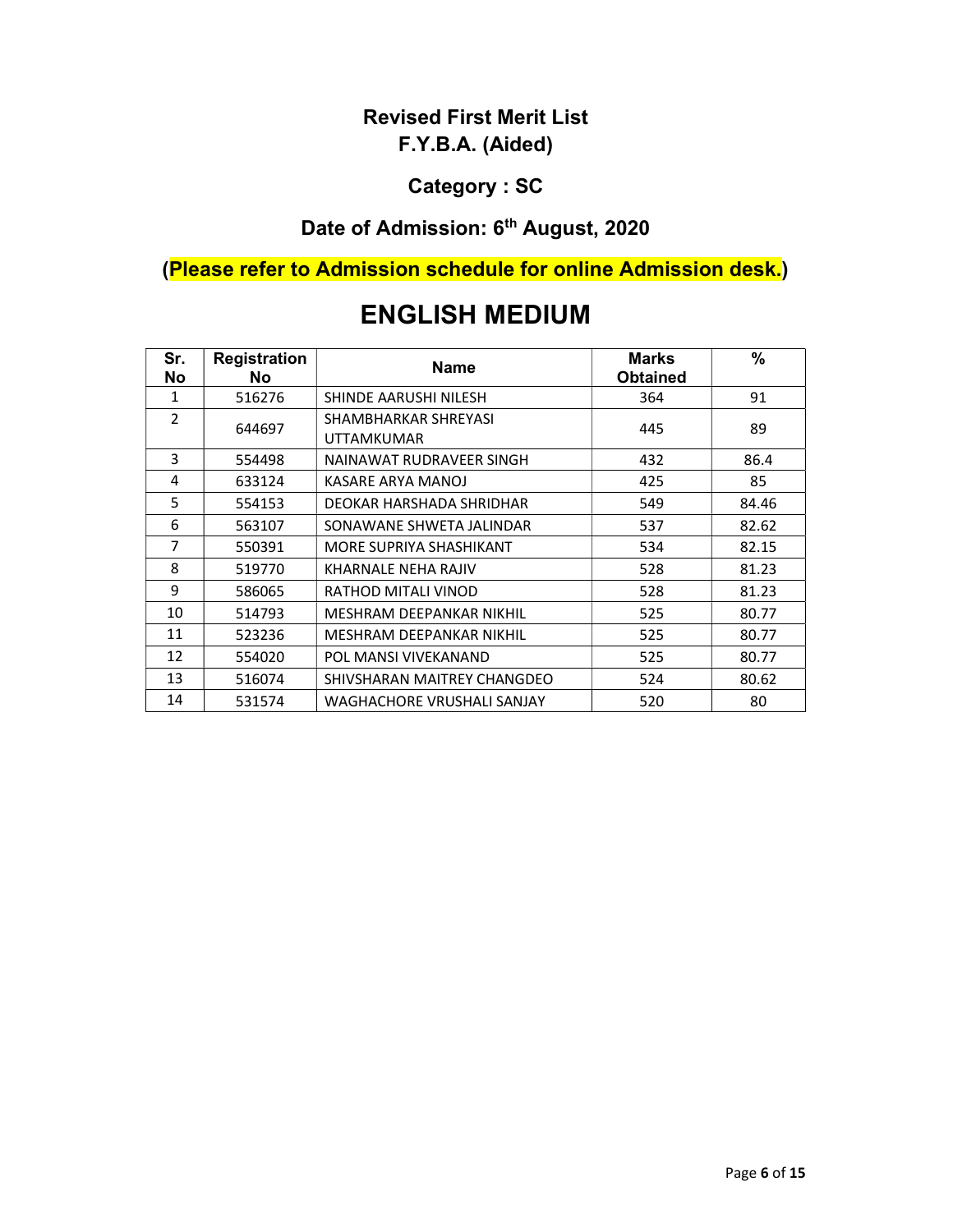#### Category : SC

# Date of Admission: 6<sup>th</sup> August, 2020

# (Please refer to Admission schedule for online Admission desk.)

| Sr.<br>No      | <b>Registration</b><br>No. | <b>Name</b>                        | <b>Marks</b><br><b>Obtained</b> | $\%$  |
|----------------|----------------------------|------------------------------------|---------------------------------|-------|
| 1              | 516276                     | SHINDE AARUSHI NILESH              | 364                             | 91    |
| $\overline{2}$ | 644697                     | SHAMBHARKAR SHREYASI<br>UTTAMKUMAR | 445                             | 89    |
| 3              |                            |                                    |                                 |       |
|                | 554498                     | NAINAWAT RUDRAVEER SINGH           | 432                             | 86.4  |
| 4              | 633124                     | KASARE ARYA MANOJ                  | 425                             | 85    |
| 5              | 554153                     | DEOKAR HARSHADA SHRIDHAR           | 549                             | 84.46 |
| 6              | 563107                     | SONAWANE SHWETA JALINDAR           | 537                             | 82.62 |
| 7              | 550391                     | MORE SUPRIYA SHASHIKANT            | 534                             | 82.15 |
| 8              | 519770                     | KHARNALE NEHA RAJIV                | 528                             | 81.23 |
| 9              | 586065                     | RATHOD MITALI VINOD                | 528                             | 81.23 |
| 10             | 514793                     | MESHRAM DEEPANKAR NIKHIL           | 525                             | 80.77 |
| 11             | 523236                     | MESHRAM DEEPANKAR NIKHIL           | 525                             | 80.77 |
| 12             | 554020                     | POL MANSI VIVEKANAND               | 525                             | 80.77 |
| 13             | 516074                     | SHIVSHARAN MAITREY CHANGDEO        | 524                             | 80.62 |
| 14             | 531574                     | WAGHACHORE VRUSHALI SANJAY         | 520                             | 80    |

# ENGLISH MEDIUM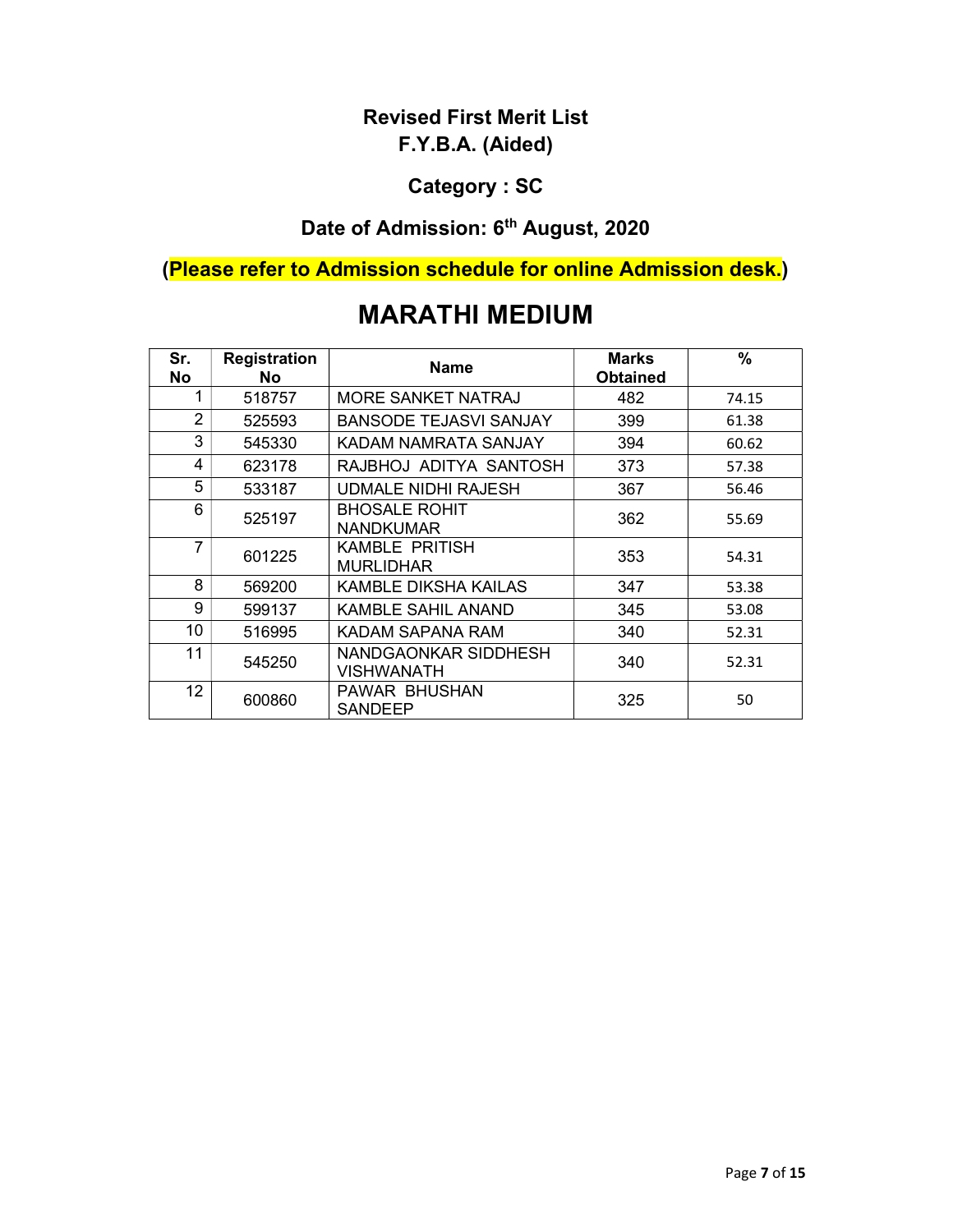#### Category : SC

# Date of Admission: 6<sup>th</sup> August, 2020

# (Please refer to Admission schedule for online Admission desk.)

| Sr.<br>No      | <b>Registration</b><br>No. | <b>Name</b>                              | <b>Marks</b><br><b>Obtained</b> | $\%$  |
|----------------|----------------------------|------------------------------------------|---------------------------------|-------|
| 1              | 518757                     | MORE SANKET NATRAJ                       | 482                             | 74.15 |
| $\overline{2}$ | 525593                     | <b>BANSODE TEJASVI SANJAY</b>            | 399                             | 61.38 |
| 3              | 545330                     | KADAM NAMRATA SANJAY                     | 394                             | 60.62 |
| 4              | 623178                     | RAJBHOJ ADITYA SANTOSH                   | 373                             | 57.38 |
| 5              | 533187                     | <b>UDMALE NIDHI RAJESH</b>               | 367                             | 56.46 |
| 6              | 525197                     | <b>BHOSALE ROHIT</b><br><b>NANDKUMAR</b> | 362                             | 55.69 |
| 7              | 601225                     | KAMBLE PRITISH<br><b>MURLIDHAR</b>       | 353                             | 54.31 |
| 8              | 569200                     | KAMBLE DIKSHA KAILAS                     | 347                             | 53.38 |
| 9              | 599137                     | KAMBLE SAHIL ANAND                       | 345                             | 53.08 |
| 10             | 516995                     | KADAM SAPANA RAM                         | 340                             | 52.31 |
| 11             | 545250                     | NANDGAONKAR SIDDHESH<br>VISHWANATH       | 340                             | 52.31 |
| 12             | 600860                     | PAWAR BHUSHAN<br>SANDEEP                 | 325                             | 50    |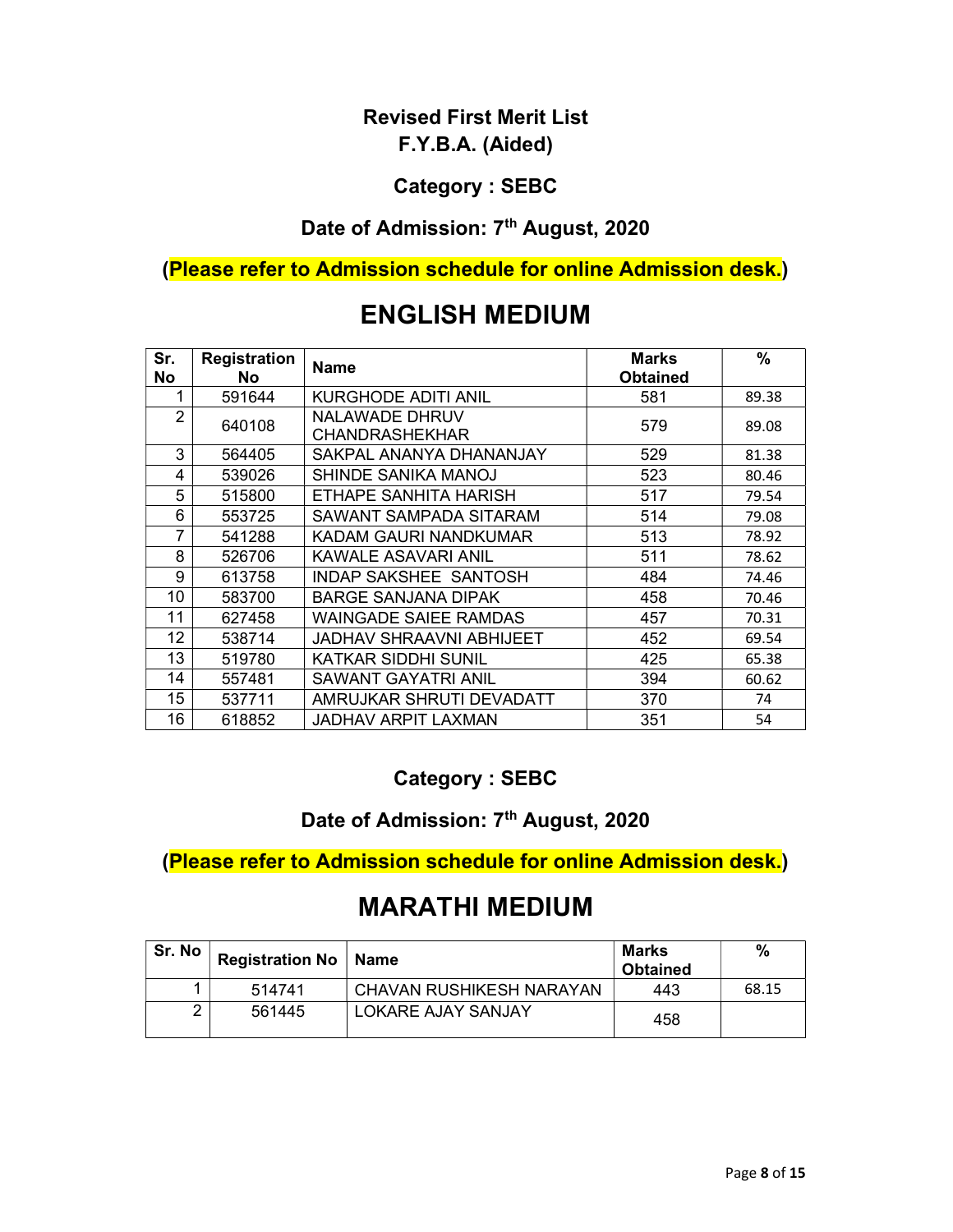#### Category : SEBC

# Date of Admission: 7<sup>th</sup> August, 2020

#### (Please refer to Admission schedule for online Admission desk.)

| Sr.<br>No | <b>Registration</b><br><b>No</b> | <b>Name</b>                             | <b>Marks</b><br><b>Obtained</b> | %     |
|-----------|----------------------------------|-----------------------------------------|---------------------------------|-------|
| 1         | 591644                           | <b>KURGHODE ADITI ANIL</b>              | 581                             | 89.38 |
| 2         | 640108                           | NALAWADE DHRUV<br><b>CHANDRASHEKHAR</b> | 579                             | 89.08 |
| 3         | 564405                           | SAKPAL ANANYA DHANANJAY                 | 529                             | 81.38 |
| 4         | 539026                           | SHINDE SANIKA MANOJ                     | 523                             | 80.46 |
| 5         | 515800                           | ETHAPE SANHITA HARISH                   | 517                             | 79.54 |
| 6         | 553725                           | SAWANT SAMPADA SITARAM                  | 514                             | 79.08 |
| 7         | 541288                           | KADAM GAURI NANDKUMAR                   | 513                             | 78.92 |
| 8         | 526706                           | KAWALE ASAVARI ANIL                     | 511                             | 78.62 |
| 9         | 613758                           | <b>INDAP SAKSHEE SANTOSH</b>            | 484                             | 74.46 |
| 10        | 583700                           | <b>BARGE SANJANA DIPAK</b>              | 458                             | 70.46 |
| 11        | 627458                           | <b>WAINGADE SAIEE RAMDAS</b>            | 457                             | 70.31 |
| 12        | 538714                           | JADHAV SHRAAVNI ABHIJEET                | 452                             | 69.54 |
| 13        | 519780                           | <b>KATKAR SIDDHI SUNIL</b>              | 425                             | 65.38 |
| 14        | 557481                           | <b>SAWANT GAYATRI ANIL</b>              | 394                             | 60.62 |
| 15        | 537711                           | AMRUJKAR SHRUTI DEVADATT                | 370                             | 74    |
| 16        | 618852                           | JADHAV ARPIT LAXMAN                     | 351                             | 54    |

# ENGLISH MEDIUM

#### Category : SEBC

#### Date of Admission: 7<sup>th</sup> August, 2020

#### (Please refer to Admission schedule for online Admission desk.)

| Sr. No | Registration No   Name |                          | Marks<br><b>Obtained</b> | %     |
|--------|------------------------|--------------------------|--------------------------|-------|
|        | 514741                 | CHAVAN RUSHIKESH NARAYAN | 443                      | 68.15 |
| ⌒      | 561445                 | LOKARE AJAY SANJAY       | 458                      |       |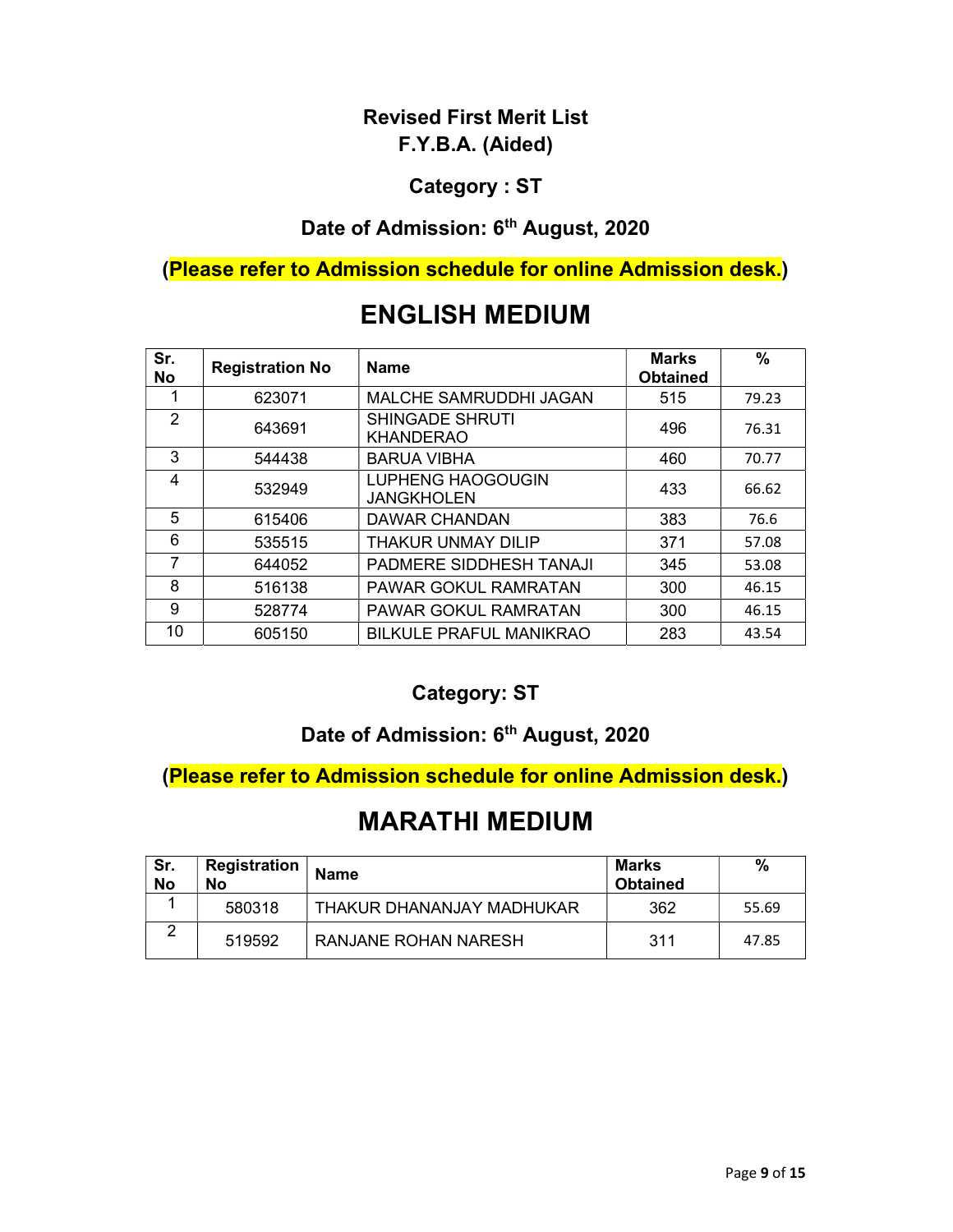#### Category : ST

# Date of Admission: 6<sup>th</sup> August, 2020

#### (Please refer to Admission schedule for online Admission desk.)

# ENGLISH MEDIUM

| Sr.<br><b>No</b> | <b>Registration No</b> | <b>Name</b>                                   | <b>Marks</b><br><b>Obtained</b> | $\%$  |
|------------------|------------------------|-----------------------------------------------|---------------------------------|-------|
|                  | 623071                 | MALCHE SAMRUDDHI JAGAN                        | 515                             | 79.23 |
| $\overline{2}$   | 643691                 | <b>SHINGADE SHRUTI</b><br><b>KHANDERAO</b>    | 496                             | 76.31 |
| 3                | 544438                 | <b>BARUA VIBHA</b>                            | 460                             | 70.77 |
| 4                | 532949                 | <b>LUPHENG HAOGOUGIN</b><br><b>JANGKHOLEN</b> | 433                             | 66.62 |
| 5                | 615406                 | DAWAR CHANDAN                                 | 383                             | 76.6  |
| 6                | 535515                 | <b>THAKUR UNMAY DILIP</b>                     | 371                             | 57.08 |
| 7                | 644052                 | PADMERE SIDDHESH TANAJI                       | 345                             | 53.08 |
| 8                | 516138                 | <b>PAWAR GOKUL RAMRATAN</b>                   | 300                             | 46.15 |
| 9                | 528774                 | <b>PAWAR GOKUL RAMRATAN</b>                   | 300                             | 46.15 |
| 10               | 605150                 | <b>BILKULE PRAFUL MANIKRAO</b>                | 283                             | 43.54 |

#### Category: ST

#### Date of Admission: 6<sup>th</sup> August, 2020

#### (Please refer to Admission schedule for online Admission desk.)

| Sr.<br><b>No</b> | Registration<br>No | <b>Name</b>               | Marks<br><b>Obtained</b> | $\frac{0}{0}$ |
|------------------|--------------------|---------------------------|--------------------------|---------------|
|                  | 580318             | THAKUR DHANANJAY MADHUKAR | 362                      | 55.69         |
|                  | 519592             | RANJANE ROHAN NARESH      | 311                      | 47.85         |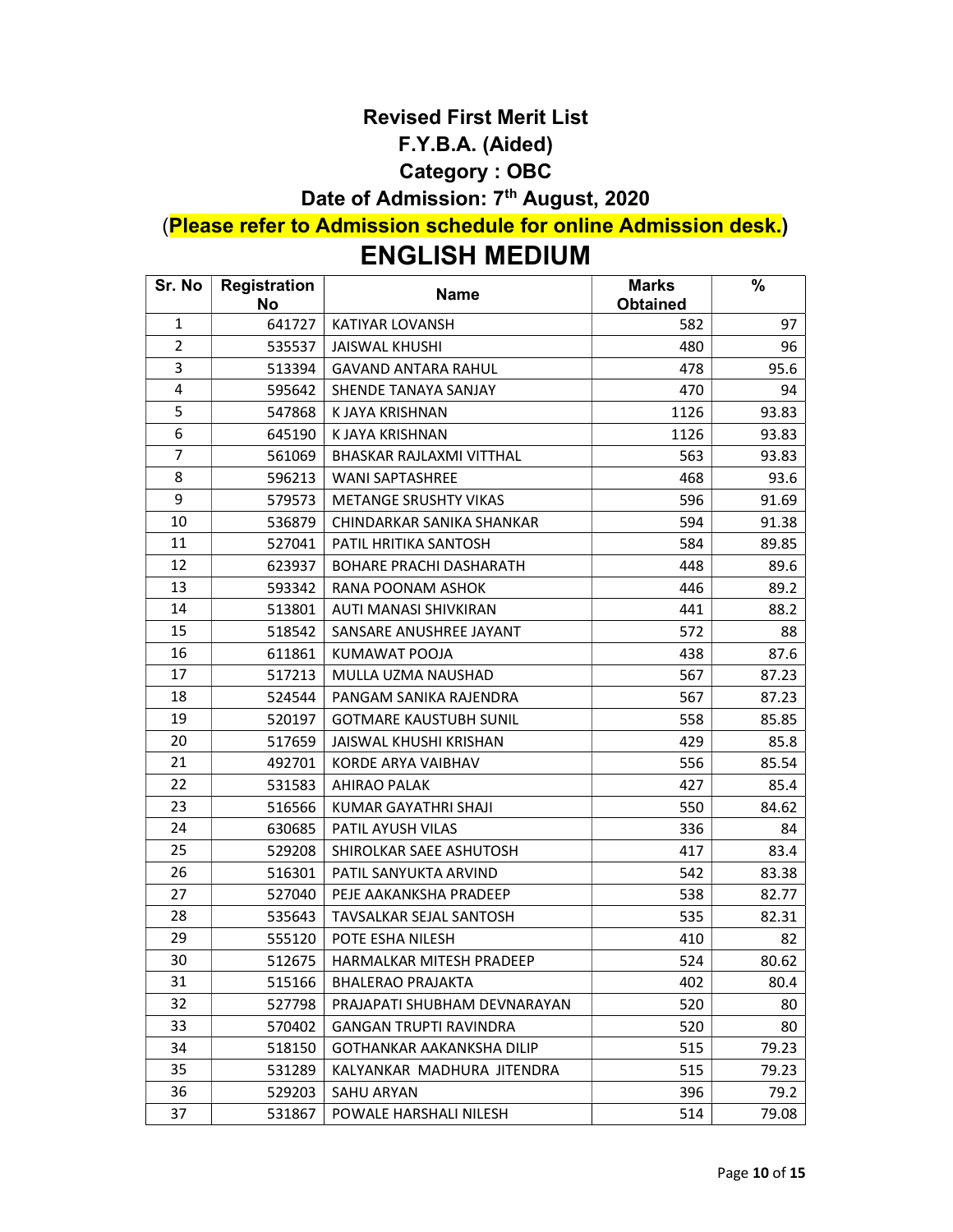#### Revised First Merit List

#### F.Y.B.A. (Aided)

#### Category : OBC

# Date of Admission: 7<sup>th</sup> August, 2020

# (Please refer to Admission schedule for online Admission desk.)

# ENGLISH MEDIUM

| Sr. No         | Registration<br><b>No</b> | <b>Name</b>                    | <b>Marks</b><br><b>Obtained</b> | %     |
|----------------|---------------------------|--------------------------------|---------------------------------|-------|
| $\mathbf{1}$   | 641727                    | <b>KATIYAR LOVANSH</b>         | 582                             | 97    |
| $\overline{2}$ | 535537                    | JAISWAL KHUSHI                 | 480                             | 96    |
| 3              | 513394                    | <b>GAVAND ANTARA RAHUL</b>     | 478                             | 95.6  |
| 4              | 595642                    | SHENDE TANAYA SANJAY           | 470                             | 94    |
| 5              | 547868                    | K JAYA KRISHNAN                | 1126                            | 93.83 |
| 6              | 645190                    | K JAYA KRISHNAN                | 1126                            | 93.83 |
| 7              | 561069                    | BHASKAR RAJLAXMI VITTHAL       | 563                             | 93.83 |
| 8              | 596213                    | <b>WANI SAPTASHREE</b>         | 468                             | 93.6  |
| 9              | 579573                    | <b>METANGE SRUSHTY VIKAS</b>   | 596                             | 91.69 |
| 10             | 536879                    | CHINDARKAR SANIKA SHANKAR      | 594                             | 91.38 |
| 11             | 527041                    | PATIL HRITIKA SANTOSH          | 584                             | 89.85 |
| 12             | 623937                    | <b>BOHARE PRACHI DASHARATH</b> | 448                             | 89.6  |
| 13             | 593342                    | RANA POONAM ASHOK              | 446                             | 89.2  |
| 14             | 513801                    | AUTI MANASI SHIVKIRAN          | 441                             | 88.2  |
| 15             | 518542                    | SANSARE ANUSHREE JAYANT        | 572                             | 88    |
| 16             | 611861                    | KUMAWAT POOJA                  | 438                             | 87.6  |
| 17             | 517213                    | MULLA UZMA NAUSHAD             | 567                             | 87.23 |
| 18             | 524544                    | PANGAM SANIKA RAJENDRA         | 567                             | 87.23 |
| 19             | 520197                    | <b>GOTMARE KAUSTUBH SUNIL</b>  | 558                             | 85.85 |
| 20             | 517659                    | JAISWAL KHUSHI KRISHAN         | 429                             | 85.8  |
| 21             | 492701                    | KORDE ARYA VAIBHAV             | 556                             | 85.54 |
| 22             | 531583                    | <b>AHIRAO PALAK</b>            | 427                             | 85.4  |
| 23             | 516566                    | KUMAR GAYATHRI SHAJI           | 550                             | 84.62 |
| 24             | 630685                    | <b>PATIL AYUSH VILAS</b>       | 336                             | 84    |
| 25             | 529208                    | SHIROLKAR SAEE ASHUTOSH        | 417                             | 83.4  |
| 26             | 516301                    | PATIL SANYUKTA ARVIND          | 542                             | 83.38 |
| 27             | 527040                    | PEJE AAKANKSHA PRADEEP         | 538                             | 82.77 |
| 28             | 535643                    | TAVSALKAR SEJAL SANTOSH        | 535                             | 82.31 |
| 29             | 555120                    | POTE ESHA NILESH               | 410                             | 82    |
| 30             | 512675                    | HARMALKAR MITESH PRADEEP       | 524                             | 80.62 |
| 31             | 515166                    | <b>BHALERAO PRAJAKTA</b>       | 402                             | 80.4  |
| 32             | 527798                    | PRAJAPATI SHUBHAM DEVNARAYAN   | 520                             | 80    |
| 33             | 570402                    | GANGAN TRUPTI RAVINDRA         | 520                             | 80    |
| 34             | 518150                    | GOTHANKAR AAKANKSHA DILIP      | 515                             | 79.23 |
| 35             | 531289                    | KALYANKAR MADHURA JITENDRA     | 515                             | 79.23 |
| 36             | 529203                    | <b>SAHU ARYAN</b>              | 396                             | 79.2  |
| 37             | 531867                    | POWALE HARSHALI NILESH         | 514                             | 79.08 |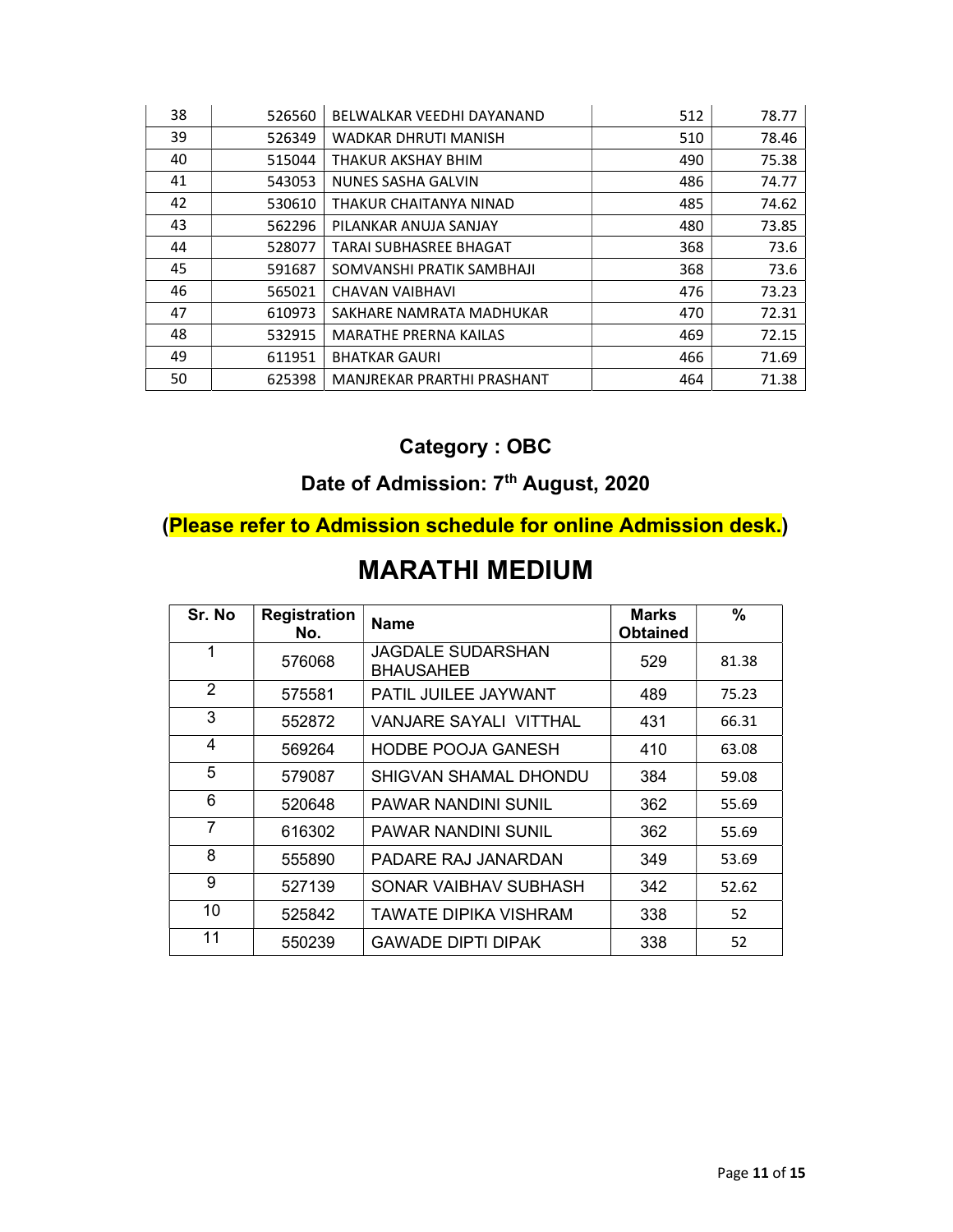| 38 | 526560 | BELWALKAR VEEDHI DAYANAND     | 512 | 78.77 |
|----|--------|-------------------------------|-----|-------|
| 39 | 526349 | WADKAR DHRUTI MANISH          | 510 | 78.46 |
| 40 | 515044 | THAKUR AKSHAY BHIM            | 490 | 75.38 |
| 41 | 543053 | <b>NUNES SASHA GALVIN</b>     | 486 | 74.77 |
| 42 | 530610 | THAKUR CHAITANYA NINAD        | 485 | 74.62 |
| 43 | 562296 | PILANKAR ANUJA SANJAY         | 480 | 73.85 |
| 44 | 528077 | <b>TARAI SUBHASREE BHAGAT</b> | 368 | 73.6  |
| 45 | 591687 | SOMVANSHI PRATIK SAMBHAJI     | 368 | 73.6  |
| 46 | 565021 | CHAVAN VAIBHAVI               | 476 | 73.23 |
| 47 | 610973 | SAKHARE NAMRATA MADHUKAR      | 470 | 72.31 |
| 48 | 532915 | <b>MARATHE PRERNA KAILAS</b>  | 469 | 72.15 |
| 49 | 611951 | <b>BHATKAR GAURI</b>          | 466 | 71.69 |
| 50 | 625398 | MANJREKAR PRARTHI PRASHANT    | 464 | 71.38 |

# Category : OBC

# Date of Admission: 7<sup>th</sup> August, 2020

# (Please refer to Admission schedule for online Admission desk.)

| Sr. No         | <b>Registration</b><br>No. | <b>Name</b>                           | <b>Marks</b><br><b>Obtained</b> | $\%$  |
|----------------|----------------------------|---------------------------------------|---------------------------------|-------|
| 1              | 576068                     | JAGDALE SUDARSHAN<br><b>BHAUSAHEB</b> | 529                             | 81.38 |
| $\mathfrak{p}$ | 575581                     | PATIL JUILEE JAYWANT                  | 489                             | 75.23 |
| 3              | 552872                     | VANJARE SAYALI VITTHAL                | 431                             | 66.31 |
| 4              | 569264                     | <b>HODBE POOJA GANESH</b>             | 410                             | 63.08 |
| 5              | 579087                     | SHIGVAN SHAMAL DHONDU                 | 384                             | 59.08 |
| 6              | 520648                     | <b>PAWAR NANDINI SUNIL</b>            | 362                             | 55.69 |
| $\overline{7}$ | 616302                     | <b>PAWAR NANDINI SUNIL</b>            | 362                             | 55.69 |
| 8              | 555890                     | PADARE RAJ JANARDAN                   | 349                             | 53.69 |
| 9              | 527139                     | SONAR VAIBHAV SUBHASH                 | 342                             | 52.62 |
| 10             | 525842                     | TAWATE DIPIKA VISHRAM                 | 338                             | 52    |
| 11             | 550239                     | <b>GAWADE DIPTI DIPAK</b>             | 338                             | 52    |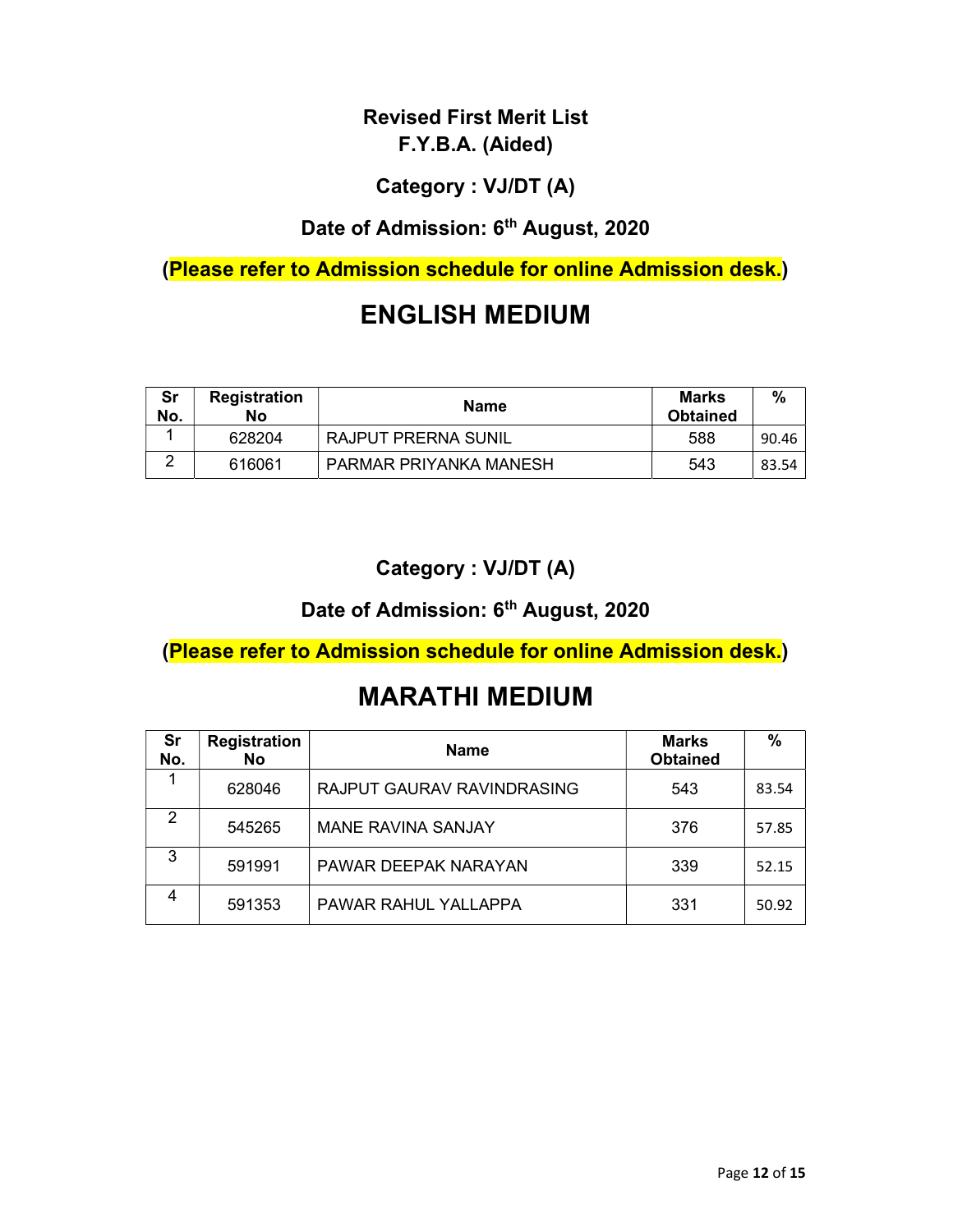# Category : VJ/DT (A)

# Date of Admission: 6<sup>th</sup> August, 2020

(Please refer to Admission schedule for online Admission desk.)

# ENGLISH MEDIUM

| Sr<br>No. | <b>Registration</b><br>No | <b>Name</b>                | Marks<br><b>Obtained</b> | $\%$  |
|-----------|---------------------------|----------------------------|--------------------------|-------|
|           | 628204                    | <b>RAJPUT PRERNA SUNIL</b> | 588                      | 90.46 |
| $\sim$    | 616061                    | PARMAR PRIYANKA MANESH     | 543                      | 83.54 |

### Category : VJ/DT (A)

# Date of Admission: 6<sup>th</sup> August, 2020

(Please refer to Admission schedule for online Admission desk.)

| Sr<br>No. | <b>Registration</b><br>No | <b>Name</b>                | <b>Marks</b><br><b>Obtained</b> | %     |
|-----------|---------------------------|----------------------------|---------------------------------|-------|
|           | 628046                    | RAJPUT GAURAV RAVINDRASING | 543                             | 83.54 |
| 2         | 545265                    | <b>MANE RAVINA SANJAY</b>  | 376                             | 57.85 |
| 3         | 591991                    | PAWAR DEEPAK NARAYAN       | 339                             | 52.15 |
| 4         | 591353                    | PAWAR RAHUL YALLAPPA       | 331                             | 50.92 |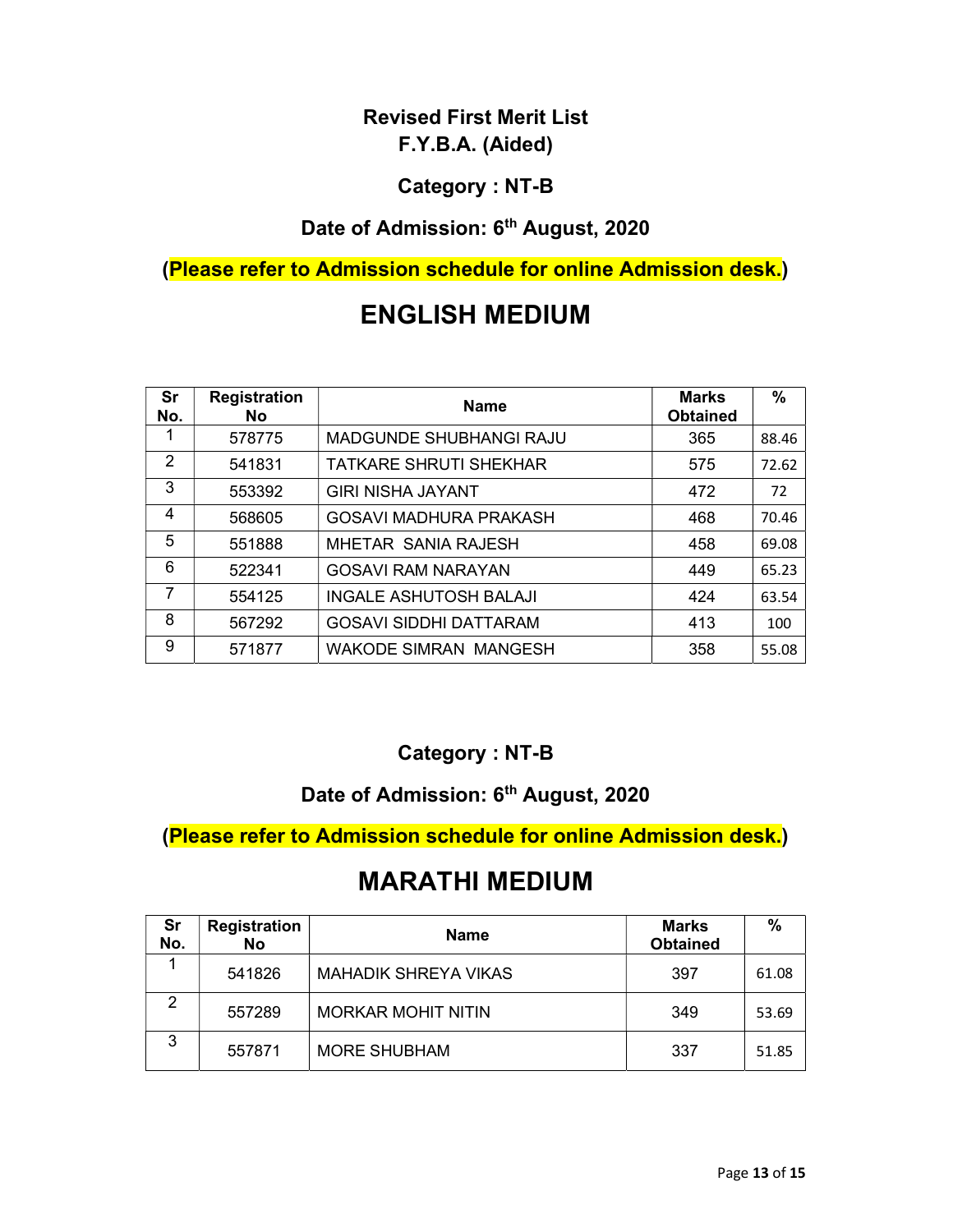#### Category : NT-B

# Date of Admission: 6<sup>th</sup> August, 2020

# (Please refer to Admission schedule for online Admission desk.)

# ENGLISH MEDIUM

| Sr<br>No. | <b>Registration</b><br><b>No</b> | <b>Name</b>                   | <b>Marks</b><br><b>Obtained</b> | $\%$  |
|-----------|----------------------------------|-------------------------------|---------------------------------|-------|
|           | 578775                           | MADGUNDE SHUBHANGI RAJU       | 365                             | 88.46 |
| 2         | 541831                           | <b>TATKARE SHRUTI SHEKHAR</b> | 575                             | 72.62 |
| 3         | 553392                           | <b>GIRI NISHA JAYANT</b>      | 472                             | 72    |
| 4         | 568605                           | <b>GOSAVI MADHURA PRAKASH</b> | 468                             | 70.46 |
| 5         | 551888                           | MHETAR SANIA RAJESH           | 458                             | 69.08 |
| 6         | 522341                           | <b>GOSAVI RAM NARAYAN</b>     | 449                             | 65.23 |
| 7         | 554125                           | <b>INGALE ASHUTOSH BALAJI</b> | 424                             | 63.54 |
| 8         | 567292                           | <b>GOSAVI SIDDHI DATTARAM</b> | 413                             | 100   |
| 9         | 571877                           | <b>WAKODE SIMRAN MANGESH</b>  | 358                             | 55.08 |

#### Category : NT-B

#### Date of Admission: 6<sup>th</sup> August, 2020

(Please refer to Admission schedule for online Admission desk.)

| Sr<br>No. | <b>Registration</b><br>No | <b>Name</b>                 | <b>Marks</b><br><b>Obtained</b> | $\frac{0}{0}$ |
|-----------|---------------------------|-----------------------------|---------------------------------|---------------|
|           | 541826                    | <b>MAHADIK SHREYA VIKAS</b> | 397                             | 61.08         |
| 2         | 557289                    | <b>MORKAR MOHIT NITIN</b>   | 349                             | 53.69         |
| 3         | 557871                    | <b>MORE SHUBHAM</b>         | 337                             | 51.85         |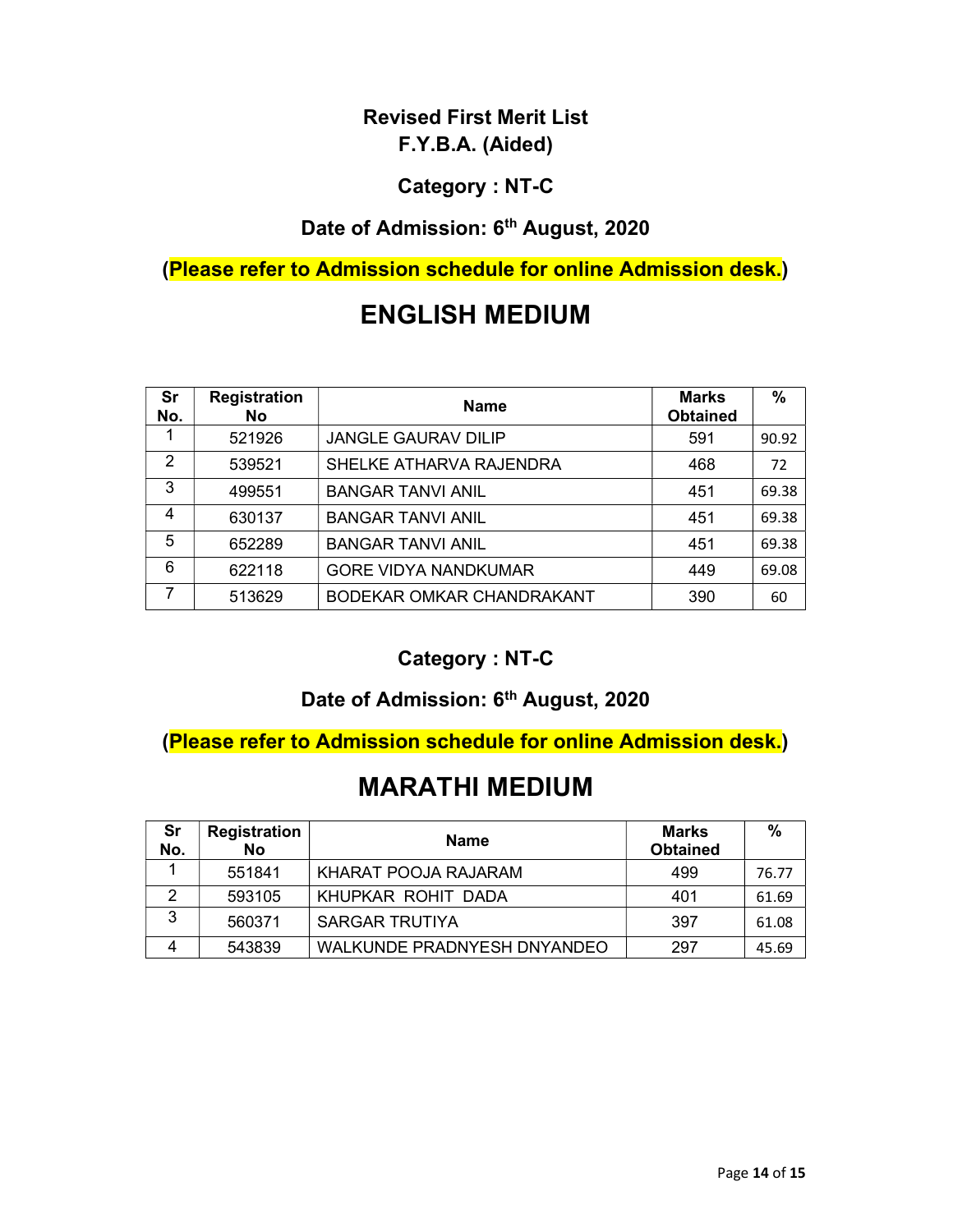#### Category : NT-C

# Date of Admission: 6<sup>th</sup> August, 2020

(Please refer to Admission schedule for online Admission desk.)

# ENGLISH MEDIUM

| Sr<br>No. | <b>Registration</b><br><b>No</b> | <b>Name</b>                 | <b>Marks</b><br><b>Obtained</b> | %     |
|-----------|----------------------------------|-----------------------------|---------------------------------|-------|
|           | 521926                           | <b>JANGLE GAURAV DILIP</b>  | 591                             | 90.92 |
| 2         | 539521                           | SHELKE ATHARVA RAJENDRA     | 468                             | 72    |
| 3         | 499551                           | <b>BANGAR TANVI ANIL</b>    | 451                             | 69.38 |
| 4         | 630137                           | <b>BANGAR TANVI ANIL</b>    | 451                             | 69.38 |
| 5         | 652289                           | <b>BANGAR TANVI ANIL</b>    | 451                             | 69.38 |
| 6         | 622118                           | <b>GORE VIDYA NANDKUMAR</b> | 449                             | 69.08 |
| 7         | 513629                           | BODEKAR OMKAR CHANDRAKANT   | 390                             | 60    |

#### Category : NT-C

#### Date of Admission: 6<sup>th</sup> August, 2020

(Please refer to Admission schedule for online Admission desk.)

| Sr<br>No. | <b>Registration</b><br>No | <b>Name</b>                 | <b>Marks</b><br><b>Obtained</b> | %     |
|-----------|---------------------------|-----------------------------|---------------------------------|-------|
|           | 551841                    | KHARAT POOJA RAJARAM        | 499                             | 76.77 |
|           | 593105                    | KHUPKAR ROHIT DADA          | 401                             | 61.69 |
| ົ         | 560371                    | <b>SARGAR TRUTIYA</b>       | 397                             | 61.08 |
|           | 543839                    | WALKUNDE PRADNYESH DNYANDEO | 297                             | 45.69 |